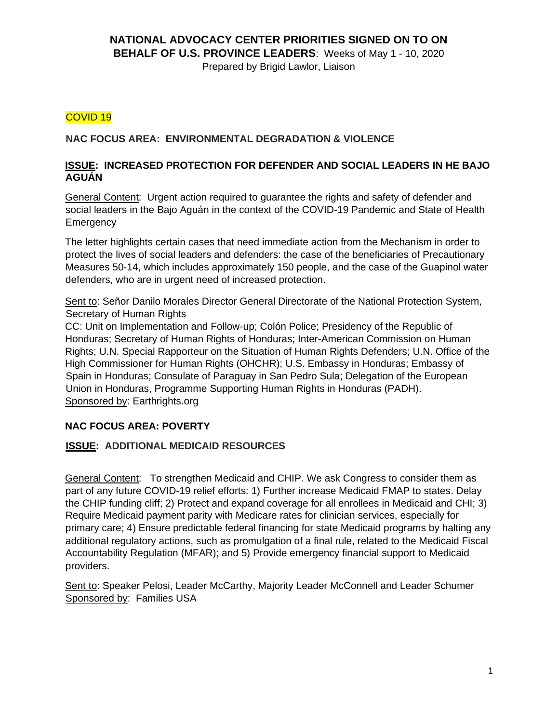## **NATIONAL ADVOCACY CENTER PRIORITIES SIGNED ON TO ON BEHALF OF U.S. PROVINCE LEADERS**: Weeks of May 1 - 10, 2020

Prepared by Brigid Lawlor, Liaison

# COVID 19

## **NAC FOCUS AREA: ENVIRONMENTAL DEGRADATION & VIOLENCE**

## **ISSUE: INCREASED PROTECTION FOR DEFENDER AND SOCIAL LEADERS IN HE BAJO AGUÁN**

General Content: Urgent action required to guarantee the rights and safety of defender and social leaders in the Bajo Aguán in the context of the COVID-19 Pandemic and State of Health **Emergency** 

The letter highlights certain cases that need immediate action from the Mechanism in order to protect the lives of social leaders and defenders: the case of the beneficiaries of Precautionary Measures 50-14, which includes approximately 150 people, and the case of the Guapinol water defenders, who are in urgent need of increased protection.

Sent to: Señor Danilo Morales Director General Directorate of the National Protection System, Secretary of Human Rights

CC: Unit on Implementation and Follow-up; Colón Police; Presidency of the Republic of Honduras; Secretary of Human Rights of Honduras; Inter-American Commission on Human Rights; U.N. Special Rapporteur on the Situation of Human Rights Defenders; U.N. Office of the High Commissioner for Human Rights (OHCHR); U.S. Embassy in Honduras; Embassy of Spain in Honduras; Consulate of Paraguay in San Pedro Sula; Delegation of the European Union in Honduras, Programme Supporting Human Rights in Honduras (PADH). Sponsored by: Earthrights.org

## **NAC FOCUS AREA: POVERTY**

## **ISSUE: ADDITIONAL MEDICAID RESOURCES**

General Content: To strengthen Medicaid and CHIP. We ask Congress to consider them as part of any future COVID-19 relief efforts: 1) Further increase Medicaid FMAP to states. Delay the CHIP funding cliff; 2) Protect and expand coverage for all enrollees in Medicaid and CHI; 3) Require Medicaid payment parity with Medicare rates for clinician services, especially for primary care; 4) Ensure predictable federal financing for state Medicaid programs by halting any additional regulatory actions, such as promulgation of a final rule, related to the Medicaid Fiscal Accountability Regulation (MFAR); and 5) Provide emergency financial support to Medicaid providers.

Sent to: Speaker Pelosi, Leader McCarthy, Majority Leader McConnell and Leader Schumer Sponsored by: Families USA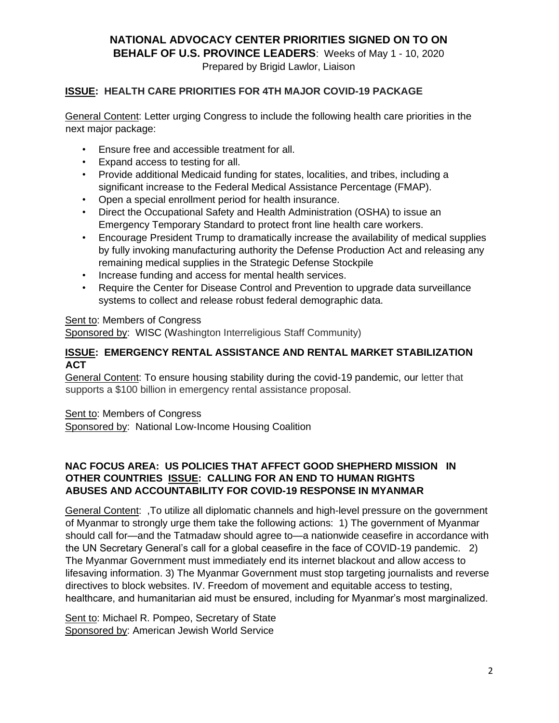**NATIONAL ADVOCACY CENTER PRIORITIES SIGNED ON TO ON** 

**BEHALF OF U.S. PROVINCE LEADERS**: Weeks of May 1 - 10, 2020

Prepared by Brigid Lawlor, Liaison

## **ISSUE: HEALTH CARE PRIORITIES FOR 4TH MAJOR COVID-19 PACKAGE**

General Content: Letter urging Congress to include the following health care priorities in the next major package:

- Ensure free and accessible treatment for all.
- Expand access to testing for all.
- Provide additional Medicaid funding for states, localities, and tribes, including a significant increase to the Federal Medical Assistance Percentage (FMAP).
- Open a special enrollment period for health insurance.
- Direct the Occupational Safety and Health Administration (OSHA) to issue an Emergency Temporary Standard to protect front line health care workers.
- Encourage President Trump to dramatically increase the availability of medical supplies by fully invoking manufacturing authority the Defense Production Act and releasing any remaining medical supplies in the Strategic Defense Stockpile
- Increase funding and access for mental health services.
- Require the Center for Disease Control and Prevention to upgrade data surveillance systems to collect and release robust federal demographic data.

### Sent to: Members of Congress

Sponsored by: WISC (Washington Interreligious Staff Community)

#### **ISSUE: EMERGENCY RENTAL ASSISTANCE AND RENTAL MARKET STABILIZATION ACT**

General Content: To ensure housing stability during the covid-19 pandemic, our letter that supports a \$100 billion in emergency rental assistance proposal.

#### Sent to: Members of Congress

Sponsored by: National Low-Income Housing Coalition

## **NAC FOCUS AREA: US POLICIES THAT AFFECT GOOD SHEPHERD MISSION IN OTHER COUNTRIES ISSUE: CALLING FOR AN END TO HUMAN RIGHTS ABUSES AND ACCOUNTABILITY FOR COVID-19 RESPONSE IN MYANMAR**

General Content: ,To utilize all diplomatic channels and high-level pressure on the government of Myanmar to strongly urge them take the following actions: 1) The government of Myanmar should call for—and the Tatmadaw should agree to—a nationwide ceasefire in accordance with the UN Secretary General's call for a global ceasefire in the face of COVID-19 pandemic. 2) The Myanmar Government must immediately end its internet blackout and allow access to lifesaving information. 3) The Myanmar Government must stop targeting journalists and reverse directives to block websites. IV. Freedom of movement and equitable access to testing, healthcare, and humanitarian aid must be ensured, including for Myanmar's most marginalized.

Sent to: Michael R. Pompeo, Secretary of State Sponsored by: American Jewish World Service